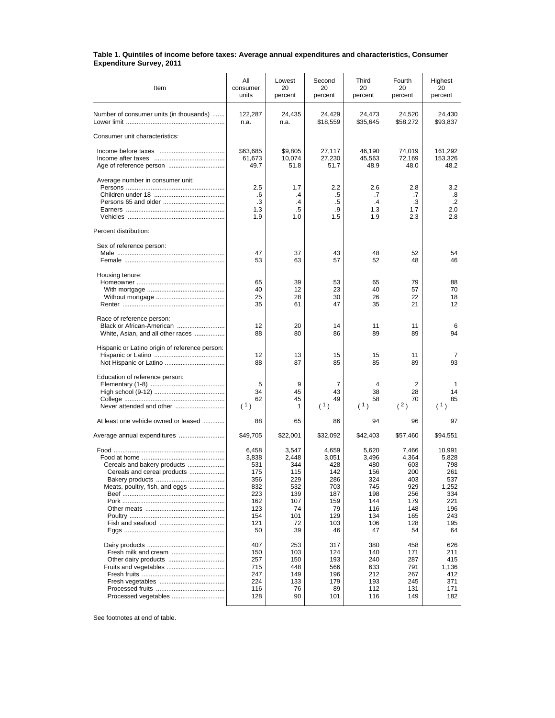| Table 1. Quintiles of income before taxes: Average annual expenditures and characteristics, Consumer |  |
|------------------------------------------------------------------------------------------------------|--|
| <b>Expenditure Survey, 2011</b>                                                                      |  |

| Item                                                                                          | All<br>consumer<br>units                                                            | Lowest<br>20<br>percent                                                           | Second<br>20<br>percent                                                            | Third<br>20<br>percent                                                              | Fourth<br>20<br>percent                                                             | Highest<br>20<br>percent                                                               |
|-----------------------------------------------------------------------------------------------|-------------------------------------------------------------------------------------|-----------------------------------------------------------------------------------|------------------------------------------------------------------------------------|-------------------------------------------------------------------------------------|-------------------------------------------------------------------------------------|----------------------------------------------------------------------------------------|
| Number of consumer units (in thousands)                                                       | 122,287<br>n.a.                                                                     | 24,435<br>n.a.                                                                    | 24,429<br>\$18,559                                                                 | 24,473<br>\$35,645                                                                  | 24,520<br>\$58,272                                                                  | 24,430<br>\$93,837                                                                     |
| Consumer unit characteristics:                                                                |                                                                                     |                                                                                   |                                                                                    |                                                                                     |                                                                                     |                                                                                        |
|                                                                                               | \$63,685<br>61,673<br>49.7                                                          | \$9,805<br>10,074<br>51.8                                                         | 27,117<br>27,230<br>51.7                                                           | 46,190<br>45,563<br>48.9                                                            | 74,019<br>72,169<br>48.0                                                            | 161,292<br>153,326<br>48.2                                                             |
| Average number in consumer unit:                                                              | 2.5<br>.6<br>.3<br>1.3<br>1.9                                                       | 1.7<br>$\cdot$<br>$\mathcal{A}$<br>$.5\,$<br>1.0                                  | 2.2<br>.5<br>.5<br>.9<br>1.5                                                       | 2.6<br>.7<br>$\cdot$<br>1.3<br>1.9                                                  | 2.8<br>.7<br>.3<br>1.7<br>2.3                                                       | 3.2<br>.8<br>$\cdot$<br>2.0<br>2.8                                                     |
| Percent distribution:                                                                         |                                                                                     |                                                                                   |                                                                                    |                                                                                     |                                                                                     |                                                                                        |
| Sex of reference person:                                                                      | 47<br>53                                                                            | 37<br>63                                                                          | 43<br>57                                                                           | 48<br>52                                                                            | 52<br>48                                                                            | 54<br>46                                                                               |
| Housing tenure:                                                                               | 65<br>40<br>25<br>35                                                                | 39<br>12<br>28<br>61                                                              | 53<br>23<br>30<br>47                                                               | 65<br>40<br>26<br>35                                                                | 79<br>57<br>22<br>21                                                                | 88<br>70<br>18<br>12                                                                   |
| Race of reference person:<br>Black or African-American<br>White, Asian, and all other races   | 12<br>88                                                                            | 20<br>80                                                                          | 14<br>86                                                                           | 11<br>89                                                                            | 11<br>89                                                                            | 6<br>94                                                                                |
| Hispanic or Latino origin of reference person:                                                | 12<br>88                                                                            | 13<br>87                                                                          | 15<br>85                                                                           | 15<br>85                                                                            | 11<br>89                                                                            | 7<br>93                                                                                |
| Education of reference person:<br>Never attended and other                                    | 5<br>34<br>62<br>(1)                                                                | 9<br>45<br>45<br>1                                                                | 7<br>43<br>49<br>(1)                                                               | 4<br>38<br>58<br>(1)                                                                | 2<br>28<br>70<br>(2)                                                                | 1<br>14<br>85<br>(1)                                                                   |
| At least one vehicle owned or leased                                                          | 88                                                                                  | 65                                                                                | 86                                                                                 | 94                                                                                  | 96                                                                                  | 97                                                                                     |
| Average annual expenditures                                                                   | \$49,705                                                                            | \$22,001                                                                          | \$32,092                                                                           | \$42,403                                                                            | \$57,460                                                                            | \$94,551                                                                               |
| Cereals and bakery products<br>Cereals and cereal products<br>Meats, poultry, fish, and eggs  | 6,458<br>3,838<br>531<br>175<br>356<br>832<br>223<br>162<br>123<br>154<br>121<br>50 | 3,547<br>2,448<br>344<br>115<br>229<br>532<br>139<br>107<br>74<br>101<br>72<br>39 | 4,659<br>3,051<br>428<br>142<br>286<br>703<br>187<br>159<br>79<br>129<br>103<br>46 | 5,620<br>3,496<br>480<br>156<br>324<br>745<br>198<br>144<br>116<br>134<br>106<br>47 | 7,466<br>4,364<br>603<br>200<br>403<br>929<br>256<br>179<br>148<br>165<br>128<br>54 | 10,991<br>5,828<br>798<br>261<br>537<br>1,252<br>334<br>221<br>196<br>243<br>195<br>64 |
| Fresh milk and cream<br>Other dairy products<br>Fruits and vegetables<br>Processed vegetables | 407<br>150<br>257<br>715<br>247<br>224<br>116<br>128                                | 253<br>103<br>150<br>448<br>149<br>133<br>76<br>90                                | 317<br>124<br>193<br>566<br>196<br>179<br>89<br>101                                | 380<br>140<br>240<br>633<br>212<br>193<br>112<br>116                                | 458<br>171<br>287<br>791<br>267<br>245<br>131<br>149                                | 626<br>211<br>415<br>1,136<br>412<br>371<br>171<br>182                                 |

See footnotes at end of table.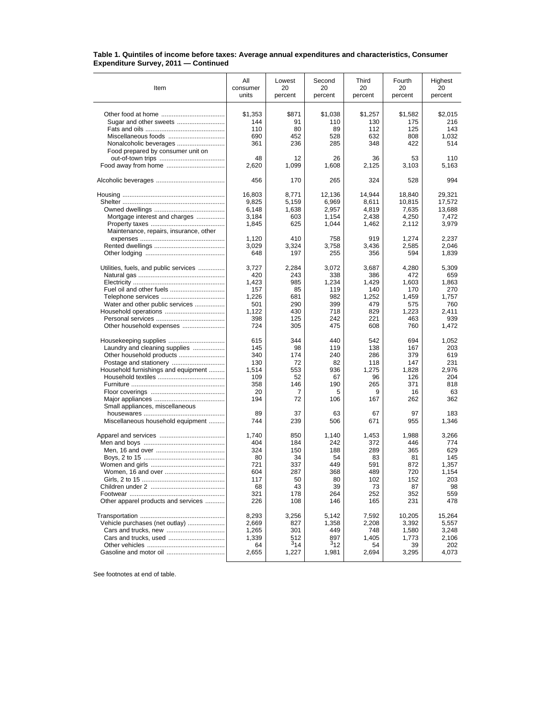## **Table 1. Quintiles of income before taxes: Average annual expenditures and characteristics, Consumer Expenditure Survey, 2011 — Continued**

|                                        | Αll        |              |              |             | Fourth  |               |
|----------------------------------------|------------|--------------|--------------|-------------|---------|---------------|
| Item                                   | consumer   | Lowest<br>20 | Second<br>20 | Third<br>20 | 20      | Highest<br>20 |
|                                        | units      | percent      | percent      | percent     | percent | percent       |
|                                        |            |              |              |             |         |               |
|                                        | \$1,353    | \$871        | \$1,038      | \$1,257     | \$1,582 | \$2,015       |
|                                        | 144        | 91           | 110          | 130         | 175     | 216           |
|                                        | 110        | 80           | 89           | 112         | 125     | 143           |
| Miscellaneous foods                    | 690        | 452          | 528          | 632         | 808     | 1,032         |
|                                        | 361        | 236          | 285          | 348         | 422     | 514           |
| Food prepared by consumer unit on      |            |              |              |             |         |               |
|                                        | 48         | 12           | 26           | 36          | 53      | 110           |
|                                        | 2,620      | 1,099        | 1,608        | 2,125       | 3,103   | 5,163         |
|                                        | 456        | 170          | 265          | 324         | 528     | 994           |
|                                        | 16,803     | 8,771        | 12,136       | 14,944      | 18,840  | 29,321        |
|                                        | 9,825      | 5,159        | 6,969        | 8,611       | 10,815  | 17,572        |
|                                        | 6,148      | 1,638        | 2,957        | 4,819       | 7,635   | 13,688        |
| Mortgage interest and charges          | 3,184      | 603          | 1,154        | 2,438       | 4,250   | 7,472         |
|                                        | 1,845      | 625          | 1,044        | 1,462       | 2,112   | 3,979         |
| Maintenance, repairs, insurance, other |            |              |              |             |         |               |
|                                        | 1,120      | 410          | 758          | 919         | 1,274   | 2,237         |
|                                        | 3,029      | 3,324        | 3,758        | 3,436       | 2,585   | 2,046         |
|                                        | 648        | 197          | 255          | 356         | 594     | 1,839         |
|                                        |            |              |              |             |         |               |
| Utilities, fuels, and public services  | 3,727      | 2,284        | 3,072        | 3,687       | 4,280   | 5,309         |
|                                        | 420        | 243          | 338          | 386         | 472     | 659           |
|                                        | 1,423      | 985          | 1,234        | 1,429       | 1,603   | 1,863         |
| Fuel oil and other fuels               | 157        | 85           | 119          | 140         | 170     | 270           |
|                                        | 1,226      | 681          | 982          | 1,252       | 1,459   | 1,757         |
| Water and other public services        | 501        | 290          | 399          | 479         | 575     | 760           |
|                                        | 1,122      | 430          | 718          | 829         | 1,223   | 2.411         |
|                                        | 398<br>724 | 125          | 242          | 221         | 463     | 939           |
| Other household expenses               |            | 305          | 475          | 608         | 760     | 1,472         |
| Housekeeping supplies                  | 615        | 344          | 440          | 542         | 694     | 1,052         |
| Laundry and cleaning supplies          | 145        | 98           | 119          | 138         | 167     | 203           |
|                                        | 340        | 174          | 240          | 286         | 379     | 619           |
|                                        | 130        | 72           | 82           | 118         | 147     | 231           |
| Household furnishings and equipment    | 1,514      | 553          | 936          | 1,275       | 1,828   | 2,976         |
|                                        | 109        | 52           | 67           | 96          | 126     | 204           |
|                                        | 358        | 146          | 190          | 265         | 371     | 818           |
|                                        | 20         | 7            | 5            | 9           | 16      | 63            |
|                                        | 194        | 72           | 106          | 167         | 262     | 362           |
| Small appliances, miscellaneous        |            |              |              |             |         |               |
| Miscellaneous household equipment      | 89<br>744  | 37           | 63           | 67<br>671   | 97      | 183           |
|                                        |            | 239          | 506          |             | 955     | 1,346         |
|                                        | 1,740      | 850          | 1,140        | 1,453       | 1,988   | 3,266         |
|                                        | 404        | 184          | 242          | 372         | 446     | 774           |
|                                        | 324        | 150          | 188          | 289         | 365     | 629           |
|                                        | 80         | 34           | 54           | 83          | 81      | 145           |
|                                        | 721        | 337          | 449          | 591         | 872     | 1,357         |
|                                        | 604        | 287          | 368          | 489         | 720     | 1,154         |
|                                        | 117        | 50           | 80           | 102         | 152     | 203           |
|                                        | 68         | 43           | 39           | 73          | 87      | 98            |
| Other apparel products and services    | 321        | 178          | 264          | 252         | 352     | 559<br>478    |
|                                        | 226        | 108          | 146          | 165         | 231     |               |
|                                        | 8,293      | 3,256        | 5,142        | 7,592       | 10,205  | 15,264        |
| Vehicle purchases (net outlay)         | 2,669      | 827          | 1,358        | 2,208       | 3,392   | 5,557         |
|                                        | 1,265      | 301          | 449          | 748         | 1,580   | 3,248         |
|                                        | 1,339      | 512          | 897          | 1.405       | 1,773   | 2,106         |
|                                        | 64         | $3_{14}$     | $3_{12}$     | 54          | 39      | 202           |
|                                        | 2,655      | 1,227        | 1,981        | 2,694       | 3,295   | 4,073         |
|                                        |            |              |              |             |         |               |

See footnotes at end of table.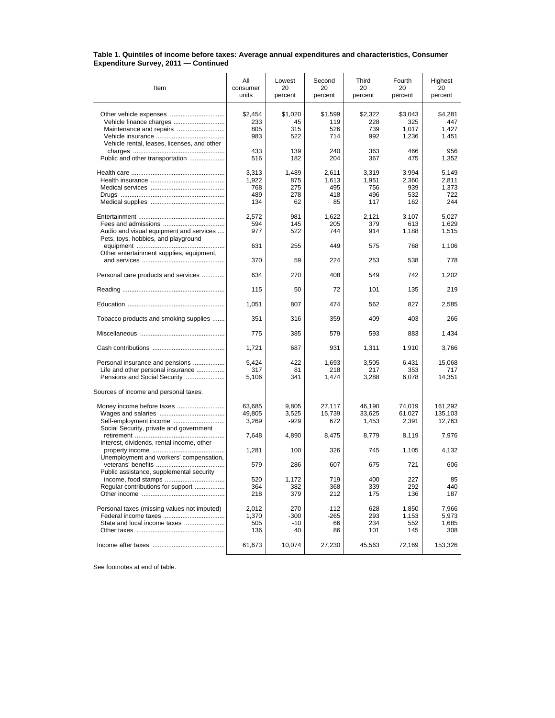## **Table 1. Quintiles of income before taxes: Average annual expenditures and characteristics, Consumer Expenditure Survey, 2011 — Continued**

| Item                                                                                                 | All<br>consumer<br>units            | Lowest<br>20<br>percent          | Second<br>20<br>percent            | Third<br>20<br>percent              | Fourth<br>20<br>percent             | Highest<br>20<br>percent              |
|------------------------------------------------------------------------------------------------------|-------------------------------------|----------------------------------|------------------------------------|-------------------------------------|-------------------------------------|---------------------------------------|
| Maintenance and repairs<br>Vehicle rental, leases, licenses, and other                               | \$2,454<br>233<br>805<br>983        | \$1,020<br>45<br>315<br>522      | \$1,599<br>119<br>526<br>714       | \$2,322<br>228<br>739<br>992        | \$3,043<br>325<br>1,017<br>1,236    | \$4,281<br>447<br>1,427<br>1,451      |
| Public and other transportation                                                                      | 433<br>516                          | 139<br>182                       | 240<br>204                         | 363<br>367                          | 466<br>475                          | 956<br>1,352                          |
|                                                                                                      | 3,313<br>1,922<br>768<br>489<br>134 | 1,489<br>875<br>275<br>278<br>62 | 2.611<br>1,613<br>495<br>418<br>85 | 3,319<br>1,951<br>756<br>496<br>117 | 3,994<br>2,360<br>939<br>532<br>162 | 5,149<br>2,811<br>1,373<br>722<br>244 |
| Audio and visual equipment and services<br>Pets, toys, hobbies, and playground                       | 2,572<br>594<br>977                 | 981<br>145<br>522                | 1,622<br>205<br>744                | 2,121<br>379<br>914                 | 3,107<br>613<br>1,188               | 5,027<br>1,629<br>1,515               |
| Other entertainment supplies, equipment,                                                             | 631                                 | 255                              | 449                                | 575                                 | 768                                 | 1,106                                 |
|                                                                                                      | 370                                 | 59                               | 224                                | 253                                 | 538                                 | 778                                   |
| Personal care products and services                                                                  | 634                                 | 270                              | 408                                | 549                                 | 742                                 | 1,202                                 |
|                                                                                                      | 115                                 | 50                               | 72                                 | 101                                 | 135                                 | 219                                   |
|                                                                                                      | 1.051                               | 807                              | 474                                | 562                                 | 827                                 | 2,585                                 |
| Tobacco products and smoking supplies                                                                | 351                                 | 316                              | 359                                | 409                                 | 403                                 | 266                                   |
|                                                                                                      | 775                                 | 385                              | 579                                | 593                                 | 883                                 | 1,434                                 |
|                                                                                                      | 1,721                               | 687                              | 931                                | 1,311                               | 1,910                               | 3,766                                 |
| Personal insurance and pensions<br>Life and other personal insurance<br>Pensions and Social Security | 5,424<br>317<br>5,106               | 422<br>81<br>341                 | 1,693<br>218<br>1,474              | 3,505<br>217<br>3,288               | 6,431<br>353<br>6,078               | 15,068<br>717<br>14,351               |
| Sources of income and personal taxes:                                                                |                                     |                                  |                                    |                                     |                                     |                                       |
| Social Security, private and government                                                              | 63,685<br>49,805<br>3,269           | 9,805<br>3,525<br>-929           | 27,117<br>15,739<br>672            | 46,190<br>33,625<br>1,453           | 74,019<br>61,027<br>2,391           | 161,292<br>135,103<br>12,763          |
| Interest, dividends, rental income, other                                                            | 7,648                               | 4,890                            | 8,475                              | 8,779                               | 8,119                               | 7,976                                 |
|                                                                                                      | 1,281                               | 100                              | 326                                | 745                                 | 1,105                               | 4,132                                 |
| Unemployment and workers' compensation,                                                              | 579                                 | 286                              | 607                                | 675                                 | 721                                 | 606                                   |
| Public assistance, supplemental security<br>Regular contributions for support                        | 520<br>364<br>218                   | 1,172<br>382<br>379              | 719<br>368<br>212                  | 400<br>339<br>175                   | 227<br>292<br>136                   | 85<br>440<br>187                      |
| Personal taxes (missing values not imputed)<br>State and local income taxes                          | 2.012<br>1,370<br>505<br>136        | -270<br>-300<br>$-10$<br>40      | -112<br>-265<br>66<br>86           | 628<br>293<br>234<br>101            | 1,850<br>1,153<br>552<br>145        | 7,966<br>5,973<br>1,685<br>308        |
|                                                                                                      | 61,673                              | 10,074                           | 27,230                             | 45,563                              | 72,169                              | 153,326                               |

See footnotes at end of table.